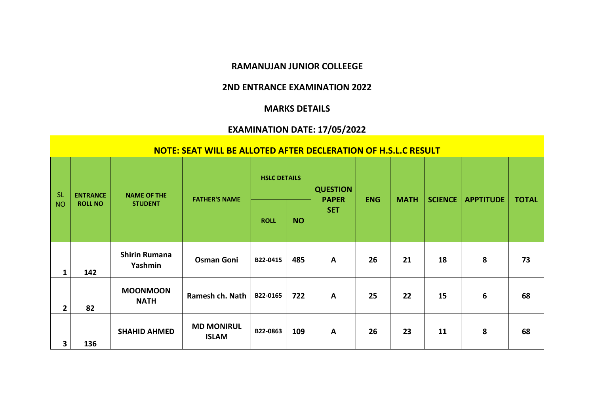## **RAMANUJAN JUNIOR COLLEEGE**

## **2ND ENTRANCE EXAMINATION 2022**

## **MARKS DETAILS**

## **EXAMINATION DATE: 17/05/2022**

|                        |                 |                                 | NOTE: SEAT WILL BE ALLOTED AFTER DECLERATION OF H.S.L.C RESULT |                     |           |                                 |            |             |                |                  |              |
|------------------------|-----------------|---------------------------------|----------------------------------------------------------------|---------------------|-----------|---------------------------------|------------|-------------|----------------|------------------|--------------|
| <b>SL</b><br><b>NO</b> | <b>ENTRANCE</b> | <b>NAME OF THE</b>              | <b>FATHER'S NAME</b>                                           | <b>HSLC DETAILS</b> |           | <b>QUESTION</b><br><b>PAPER</b> | <b>ENG</b> | <b>MATH</b> | <b>SCIENCE</b> | <b>APPTITUDE</b> | <b>TOTAL</b> |
|                        | <b>ROLL NO</b>  | <b>STUDENT</b>                  |                                                                | <b>ROLL</b>         | <b>NO</b> | <b>SET</b>                      |            |             |                |                  |              |
| 1                      | 142             | <b>Shirin Rumana</b><br>Yashmin | <b>Osman Goni</b>                                              | B22-0415            | 485       | $\mathbf{A}$                    | 26         | 21          | 18             | 8                | 73           |
| $\overline{2}$         | 82              | <b>MOONMOON</b><br><b>NATH</b>  | Ramesh ch. Nath                                                | B22-0165            | 722       | A                               | 25         | 22          | 15             | 6                | 68           |
| 3                      | 136             | <b>SHAHID AHMED</b>             | <b>MD MONIRUL</b><br><b>ISLAM</b>                              | B22-0863            | 109       | $\mathbf{A}$                    | 26         | 23          | 11             | 8                | 68           |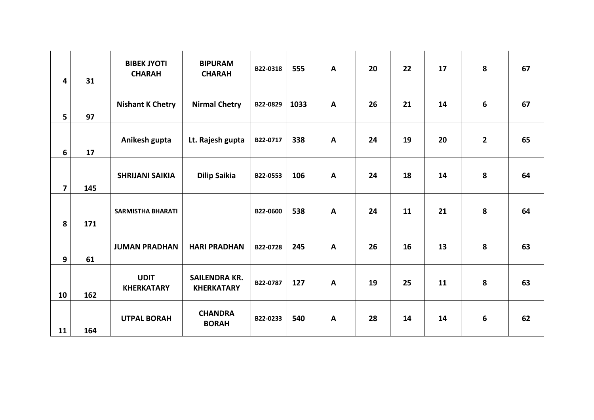| 4                       | 31  | <b>BIBEK JYOTI</b><br><b>CHARAH</b> | <b>BIPURAM</b><br><b>CHARAH</b>           | B22-0318 | 555  | $\mathsf{A}$ | 20 | 22 | 17 | 8              | 67 |
|-------------------------|-----|-------------------------------------|-------------------------------------------|----------|------|--------------|----|----|----|----------------|----|
| 5                       | 97  | <b>Nishant K Chetry</b>             | <b>Nirmal Chetry</b>                      | B22-0829 | 1033 | $\mathbf{A}$ | 26 | 21 | 14 | 6              | 67 |
| 6                       | 17  | Anikesh gupta                       | Lt. Rajesh gupta                          | B22-0717 | 338  | $\mathbf{A}$ | 24 | 19 | 20 | $\overline{2}$ | 65 |
| $\overline{\mathbf{z}}$ | 145 | <b>SHRIJANI SAIKIA</b>              | <b>Dilip Saikia</b>                       | B22-0553 | 106  | A            | 24 | 18 | 14 | 8              | 64 |
| 8                       | 171 | <b>SARMISTHA BHARATI</b>            |                                           | B22-0600 | 538  | $\mathbf{A}$ | 24 | 11 | 21 | 8              | 64 |
| 9                       | 61  | <b>JUMAN PRADHAN</b>                | <b>HARI PRADHAN</b>                       | B22-0728 | 245  | $\mathsf{A}$ | 26 | 16 | 13 | 8              | 63 |
| 10                      | 162 | <b>UDIT</b><br><b>KHERKATARY</b>    | <b>SAILENDRA KR.</b><br><b>KHERKATARY</b> | B22-0787 | 127  | $\mathsf{A}$ | 19 | 25 | 11 | 8              | 63 |
| 11                      | 164 | <b>UTPAL BORAH</b>                  | <b>CHANDRA</b><br><b>BORAH</b>            | B22-0233 | 540  | $\mathsf{A}$ | 28 | 14 | 14 | 6              | 62 |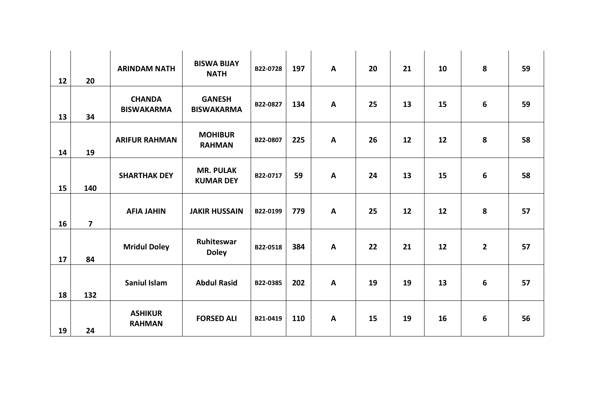| 12 | 20                      | <b>ARINDAM NATH</b>                | <b>BISWA BIJAY</b><br><b>NATH</b>    | B22-0728 | 197 | $\mathsf{A}$ | 20 | 21 | 10 | 8            | 59 |
|----|-------------------------|------------------------------------|--------------------------------------|----------|-----|--------------|----|----|----|--------------|----|
|    |                         |                                    |                                      |          |     |              |    |    |    |              |    |
| 13 | 34                      | <b>CHANDA</b><br><b>BISWAKARMA</b> | <b>GANESH</b><br><b>BISWAKARMA</b>   | B22-0827 | 134 | $\mathbf{A}$ | 25 | 13 | 15 | 6            | 59 |
| 14 | 19                      | <b>ARIFUR RAHMAN</b>               | <b>MOHIBUR</b><br><b>RAHMAN</b>      | B22-0807 | 225 | $\mathbf{A}$ | 26 | 12 | 12 | 8            | 58 |
|    |                         |                                    |                                      |          |     |              |    |    |    |              |    |
| 15 | 140                     | <b>SHARTHAK DEY</b>                | <b>MR. PULAK</b><br><b>KUMAR DEY</b> | B22-0717 | 59  | $\mathbf{A}$ | 24 | 13 | 15 | 6            | 58 |
|    |                         |                                    |                                      |          |     |              |    |    |    |              |    |
|    |                         | <b>AFIA JAHIN</b>                  | <b>JAKIR HUSSAIN</b>                 | B22-0199 | 779 | $\mathbf{A}$ | 25 | 12 | 12 | 8            | 57 |
| 16 | $\overline{\mathbf{z}}$ |                                    |                                      |          |     |              |    |    |    |              |    |
| 17 | 84                      | <b>Mridul Doley</b>                | Ruhiteswar<br><b>Doley</b>           | B22-0518 | 384 | $\mathbf{A}$ | 22 | 21 | 12 | $\mathbf{2}$ | 57 |
|    |                         | <b>Saniul Islam</b>                | <b>Abdul Rasid</b>                   | B22-0385 | 202 | $\mathbf{A}$ | 19 | 19 | 13 | 6            | 57 |
| 18 | 132                     |                                    |                                      |          |     |              |    |    |    |              |    |
| 19 | 24                      | <b>ASHIKUR</b><br><b>RAHMAN</b>    | <b>FORSED ALI</b>                    | B21-0419 | 110 | $\mathbf{A}$ | 15 | 19 | 16 | 6            | 56 |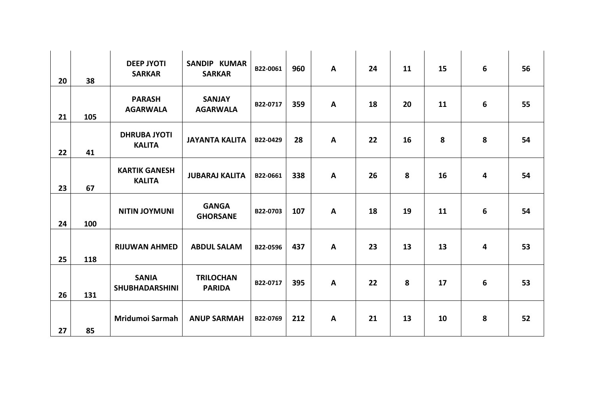| 20 | 38  | <b>DEEP JYOTI</b><br><b>SARKAR</b>    | <b>SANDIP KUMAR</b><br><b>SARKAR</b> | B22-0061 | 960 | $\mathsf{A}$ | 24 | 11 | 15 | 6 | 56 |
|----|-----|---------------------------------------|--------------------------------------|----------|-----|--------------|----|----|----|---|----|
| 21 | 105 | <b>PARASH</b><br><b>AGARWALA</b>      | <b>SANJAY</b><br><b>AGARWALA</b>     | B22-0717 | 359 | $\mathsf{A}$ | 18 | 20 | 11 | 6 | 55 |
| 22 | 41  | <b>DHRUBA JYOTI</b><br><b>KALITA</b>  | <b>JAYANTA KALITA</b>                | B22-0429 | 28  | $\mathbf{A}$ | 22 | 16 | 8  | 8 | 54 |
| 23 | 67  | <b>KARTIK GANESH</b><br><b>KALITA</b> | <b>JUBARAJ KALITA</b>                | B22-0661 | 338 | $\mathsf{A}$ | 26 | 8  | 16 | 4 | 54 |
| 24 | 100 | <b>NITIN JOYMUNI</b>                  | <b>GANGA</b><br><b>GHORSANE</b>      | B22-0703 | 107 | $\mathbf{A}$ | 18 | 19 | 11 | 6 | 54 |
| 25 | 118 | <b>RIJUWAN AHMED</b>                  | <b>ABDUL SALAM</b>                   | B22-0596 | 437 | $\mathbf{A}$ | 23 | 13 | 13 | 4 | 53 |
| 26 | 131 | <b>SANIA</b><br><b>SHUBHADARSHINI</b> | <b>TRILOCHAN</b><br><b>PARIDA</b>    | B22-0717 | 395 | $\mathsf{A}$ | 22 | 8  | 17 | 6 | 53 |
| 27 | 85  | Mridumoi Sarmah                       | <b>ANUP SARMAH</b>                   | B22-0769 | 212 | $\mathsf{A}$ | 21 | 13 | 10 | 8 | 52 |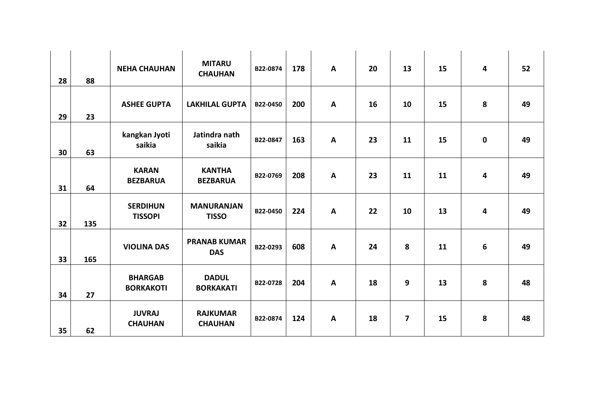|    |     | <b>NEHA CHAUHAN</b>                | <b>MITARU</b>                     | B22-0874 | 178 | $\mathsf{A}$ | 20 | 13             | 15 | 4 | 52 |
|----|-----|------------------------------------|-----------------------------------|----------|-----|--------------|----|----------------|----|---|----|
| 28 | 88  |                                    | <b>CHAUHAN</b>                    |          |     |              |    |                |    |   |    |
| 29 | 23  | <b>ASHEE GUPTA</b>                 | <b>LAKHILAL GUPTA</b>             | B22-0450 | 200 | $\mathbf{A}$ | 16 | 10             | 15 | 8 | 49 |
| 30 | 63  | kangkan Jyoti<br>saikia            | Jatindra nath<br>saikia           | B22-0847 | 163 | $\mathbf{A}$ | 23 | 11             | 15 | 0 | 49 |
| 31 | 64  | <b>KARAN</b><br><b>BEZBARUA</b>    | <b>KANTHA</b><br><b>BEZBARUA</b>  | B22-0769 | 208 | $\mathbf{A}$ | 23 | 11             | 11 | 4 | 49 |
| 32 | 135 | <b>SERDIHUN</b><br><b>TISSOPI</b>  | <b>MANURANJAN</b><br><b>TISSO</b> | B22-0450 | 224 | $\mathbf{A}$ | 22 | 10             | 13 | 4 | 49 |
| 33 | 165 | <b>VIOLINA DAS</b>                 | <b>PRANAB KUMAR</b><br><b>DAS</b> | B22-0293 | 608 | $\mathbf{A}$ | 24 | 8              | 11 | 6 | 49 |
| 34 | 27  | <b>BHARGAB</b><br><b>BORKAKOTI</b> | <b>DADUL</b><br><b>BORKAKATI</b>  | B22-0728 | 204 | $\mathbf{A}$ | 18 | 9              | 13 | 8 | 48 |
| 35 | 62  | <b>JUVRAJ</b><br><b>CHAUHAN</b>    | <b>RAJKUMAR</b><br><b>CHAUHAN</b> | B22-0874 | 124 | $\mathbf{A}$ | 18 | $\overline{ }$ | 15 | 8 | 48 |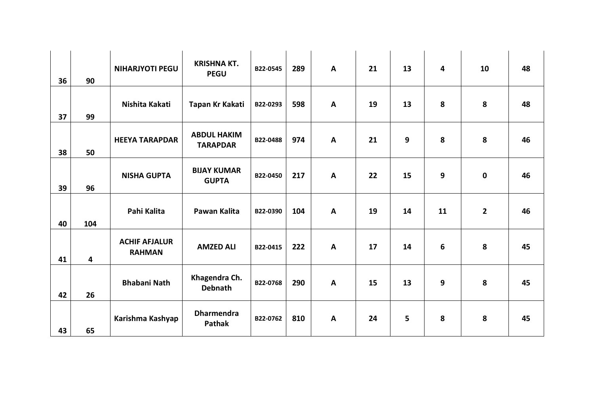| 36 | 90                      | <b>NIHARJYOTI PEGU</b>                | <b>KRISHNA KT.</b><br><b>PEGU</b>     | B22-0545 | 289 | A | 21 | 13 | $\overline{\mathbf{4}}$ | 10           | 48 |
|----|-------------------------|---------------------------------------|---------------------------------------|----------|-----|---|----|----|-------------------------|--------------|----|
| 37 | 99                      | Nishita Kakati                        | Tapan Kr Kakati                       | B22-0293 | 598 | A | 19 | 13 | 8                       | 8            | 48 |
| 38 | 50                      | <b>HEEYA TARAPDAR</b>                 | <b>ABDUL HAKIM</b><br><b>TARAPDAR</b> | B22-0488 | 974 | A | 21 | 9  | 8                       | 8            | 46 |
| 39 | 96                      | <b>NISHA GUPTA</b>                    | <b>BIJAY KUMAR</b><br><b>GUPTA</b>    | B22-0450 | 217 | A | 22 | 15 | $\mathbf{9}$            | 0            | 46 |
| 40 | 104                     | Pahi Kalita                           | Pawan Kalita                          | B22-0390 | 104 | A | 19 | 14 | 11                      | $\mathbf{2}$ | 46 |
| 41 | $\overline{\mathbf{4}}$ | <b>ACHIF AFJALUR</b><br><b>RAHMAN</b> | <b>AMZED ALI</b>                      | B22-0415 | 222 | A | 17 | 14 | $\boldsymbol{6}$        | 8            | 45 |
| 42 | 26                      | <b>Bhabani Nath</b>                   | Khagendra Ch.<br><b>Debnath</b>       | B22-0768 | 290 | A | 15 | 13 | $\mathbf{9}$            | 8            | 45 |
| 43 | 65                      | Karishma Kashyap                      | <b>Dharmendra</b><br><b>Pathak</b>    | B22-0762 | 810 | A | 24 | 5  | 8                       | 8            | 45 |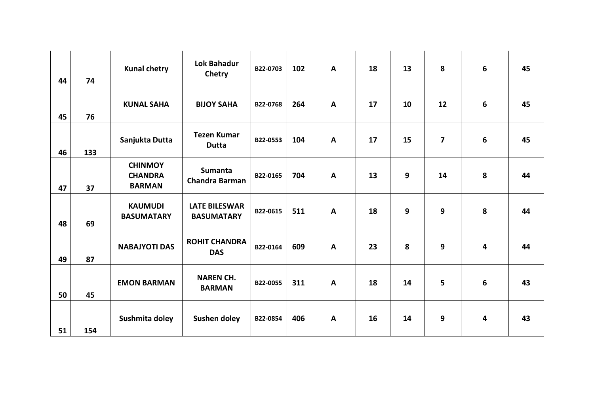|    |     | <b>Kunal chetry</b>                               | <b>Lok Bahadur</b><br>Chetry              | B22-0703 | 102 | $\mathsf{A}$ | 18 | 13 | 8                       | 6 | 45 |
|----|-----|---------------------------------------------------|-------------------------------------------|----------|-----|--------------|----|----|-------------------------|---|----|
| 44 | 74  |                                                   |                                           |          |     |              |    |    |                         |   |    |
| 45 | 76  | <b>KUNAL SAHA</b>                                 | <b>BIJOY SAHA</b>                         | B22-0768 | 264 | $\mathbf{A}$ | 17 | 10 | 12                      | 6 | 45 |
| 46 | 133 | Sanjukta Dutta                                    | <b>Tezen Kumar</b><br><b>Dutta</b>        | B22-0553 | 104 | $\mathsf{A}$ | 17 | 15 | $\overline{\mathbf{z}}$ | 6 | 45 |
| 47 | 37  | <b>CHINMOY</b><br><b>CHANDRA</b><br><b>BARMAN</b> | <b>Sumanta</b><br><b>Chandra Barman</b>   | B22-0165 | 704 | $\mathsf{A}$ | 13 | 9  | 14                      | 8 | 44 |
| 48 | 69  | <b>KAUMUDI</b><br><b>BASUMATARY</b>               | <b>LATE BILESWAR</b><br><b>BASUMATARY</b> | B22-0615 | 511 | A            | 18 | 9  | 9                       | 8 | 44 |
| 49 | 87  | <b>NABAJYOTI DAS</b>                              | <b>ROHIT CHANDRA</b><br><b>DAS</b>        | B22-0164 | 609 | $\mathsf{A}$ | 23 | 8  | 9                       | 4 | 44 |
| 50 | 45  | <b>EMON BARMAN</b>                                | <b>NAREN CH.</b><br><b>BARMAN</b>         | B22-0055 | 311 | $\mathsf{A}$ | 18 | 14 | 5                       | 6 | 43 |
| 51 | 154 | Sushmita doley                                    | Sushen doley                              | B22-0854 | 406 | $\mathsf{A}$ | 16 | 14 | 9                       | 4 | 43 |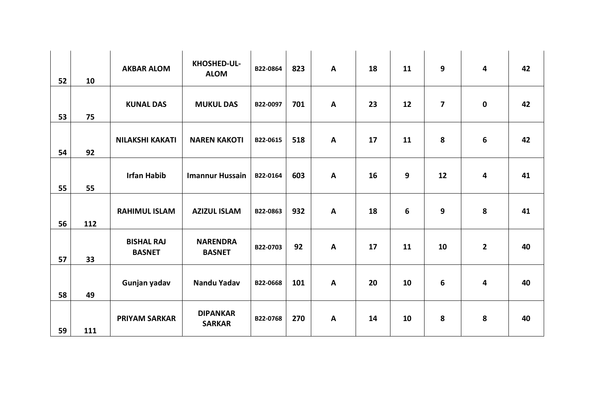|    |     | <b>AKBAR ALOM</b>                  | KHOSHED-UL-<br><b>ALOM</b>       | B22-0864 | 823 | $\mathsf{A}$ | 18 | 11 | 9                       | 4            | 42 |
|----|-----|------------------------------------|----------------------------------|----------|-----|--------------|----|----|-------------------------|--------------|----|
| 52 | 10  |                                    |                                  |          |     |              |    |    |                         |              |    |
| 53 | 75  | <b>KUNAL DAS</b>                   | <b>MUKUL DAS</b>                 | B22-0097 | 701 | $\mathbf{A}$ | 23 | 12 | $\overline{\mathbf{z}}$ | $\mathbf 0$  | 42 |
| 54 | 92  | <b>NILAKSHI KAKATI</b>             | <b>NAREN KAKOTI</b>              | B22-0615 | 518 | $\mathbf{A}$ | 17 | 11 | 8                       | 6            | 42 |
| 55 | 55  | <b>Irfan Habib</b>                 | <b>Imannur Hussain</b>           | B22-0164 | 603 | $\mathsf{A}$ | 16 | 9  | 12                      | 4            | 41 |
| 56 | 112 | <b>RAHIMUL ISLAM</b>               | <b>AZIZUL ISLAM</b>              | B22-0863 | 932 | $\mathbf{A}$ | 18 | 6  | 9                       | 8            | 41 |
| 57 | 33  | <b>BISHAL RAJ</b><br><b>BASNET</b> | <b>NARENDRA</b><br><b>BASNET</b> | B22-0703 | 92  | $\mathbf{A}$ | 17 | 11 | 10                      | $\mathbf{2}$ | 40 |
| 58 | 49  | Gunjan yadav                       | <b>Nandu Yadav</b>               | B22-0668 | 101 | $\mathbf{A}$ | 20 | 10 | 6                       | 4            | 40 |
| 59 | 111 | <b>PRIYAM SARKAR</b>               | <b>DIPANKAR</b><br><b>SARKAR</b> | B22-0768 | 270 | $\mathbf{A}$ | 14 | 10 | 8                       | 8            | 40 |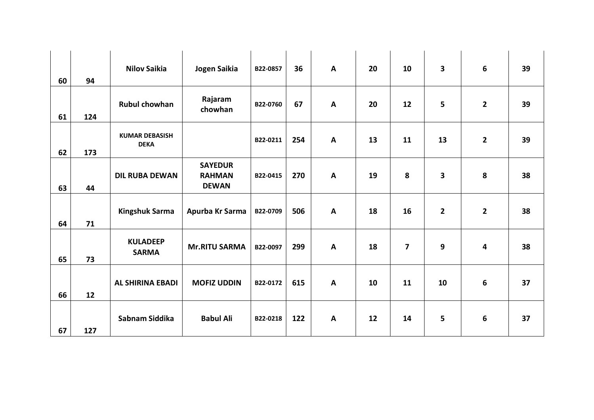| 60 | 94  | <b>Nilov Saikia</b>                  | Jogen Saikia                                    | B22-0857 | 36  | $\mathsf{A}$ | 20 | 10                      | $\overline{\mathbf{3}}$ | 6              | 39 |
|----|-----|--------------------------------------|-------------------------------------------------|----------|-----|--------------|----|-------------------------|-------------------------|----------------|----|
| 61 | 124 | <b>Rubul chowhan</b>                 | Rajaram<br>chowhan                              | B22-0760 | 67  | $\mathbf{A}$ | 20 | 12                      | 5                       | $\mathbf{2}$   | 39 |
| 62 | 173 | <b>KUMAR DEBASISH</b><br><b>DEKA</b> |                                                 | B22-0211 | 254 | $\mathsf{A}$ | 13 | 11                      | 13                      | $\overline{2}$ | 39 |
| 63 | 44  | <b>DIL RUBA DEWAN</b>                | <b>SAYEDUR</b><br><b>RAHMAN</b><br><b>DEWAN</b> | B22-0415 | 270 | $\mathbf{A}$ | 19 | 8                       | $\overline{\mathbf{3}}$ | 8              | 38 |
| 64 | 71  | <b>Kingshuk Sarma</b>                | Apurba Kr Sarma                                 | B22-0709 | 506 | $\mathbf{A}$ | 18 | 16                      | $\overline{2}$          | $\overline{2}$ | 38 |
| 65 | 73  | <b>KULADEEP</b><br><b>SARMA</b>      | <b>Mr.RITU SARMA</b>                            | B22-0097 | 299 | $\mathbf{A}$ | 18 | $\overline{\mathbf{z}}$ | 9                       | 4              | 38 |
| 66 | 12  | <b>AL SHIRINA EBADI</b>              | <b>MOFIZ UDDIN</b>                              | B22-0172 | 615 | $\mathsf{A}$ | 10 | 11                      | 10                      | 6              | 37 |
| 67 | 127 | Sabnam Siddika                       | <b>Babul Ali</b>                                | B22-0218 | 122 | $\mathsf{A}$ | 12 | 14                      | 5                       | 6              | 37 |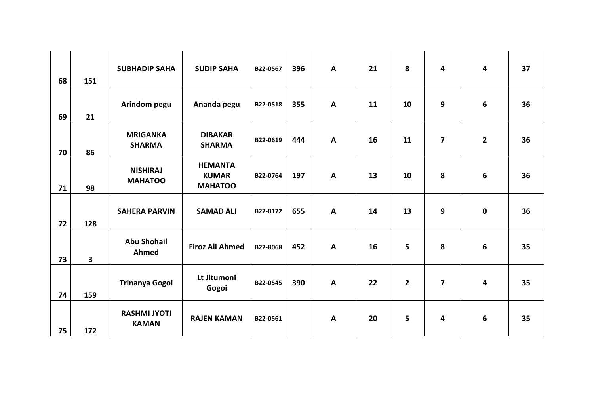|    |                         | <b>SUBHADIP SAHA</b>                | <b>SUDIP SAHA</b>                                | B22-0567 | 396 | $\mathsf{A}$ | 21 | 8              | $\overline{\mathbf{4}}$ | 4            | 37 |
|----|-------------------------|-------------------------------------|--------------------------------------------------|----------|-----|--------------|----|----------------|-------------------------|--------------|----|
| 68 | 151                     |                                     |                                                  |          |     |              |    |                |                         |              |    |
| 69 | 21                      | Arindom pegu                        | Ananda pegu                                      | B22-0518 | 355 | $\mathbf{A}$ | 11 | 10             | 9                       | 6            | 36 |
| 70 | 86                      | <b>MRIGANKA</b><br><b>SHARMA</b>    | <b>DIBAKAR</b><br><b>SHARMA</b>                  | B22-0619 | 444 | $\mathbf{A}$ | 16 | 11             | $\overline{\mathbf{z}}$ | $\mathbf{2}$ | 36 |
| 71 | 98                      | <b>NISHIRAJ</b><br><b>MAHATOO</b>   | <b>HEMANTA</b><br><b>KUMAR</b><br><b>MAHATOO</b> | B22-0764 | 197 | $\mathbf{A}$ | 13 | 10             | 8                       | 6            | 36 |
| 72 | 128                     | <b>SAHERA PARVIN</b>                | <b>SAMAD ALI</b>                                 | B22-0172 | 655 | $\mathbf{A}$ | 14 | 13             | 9                       | $\mathbf 0$  | 36 |
| 73 | $\overline{\mathbf{3}}$ | <b>Abu Shohail</b><br>Ahmed         | <b>Firoz Ali Ahmed</b>                           | B22-8068 | 452 | $\mathbf{A}$ | 16 | 5              | 8                       | 6            | 35 |
| 74 | 159                     | <b>Trinanya Gogoi</b>               | Lt Jitumoni<br>Gogoi                             | B22-0545 | 390 | $\mathbf{A}$ | 22 | $\overline{2}$ | $\overline{\mathbf{z}}$ | 4            | 35 |
| 75 | 172                     | <b>RASHMI JYOTI</b><br><b>KAMAN</b> | <b>RAJEN KAMAN</b>                               | B22-0561 |     | $\mathbf{A}$ | 20 | 5              | 4                       | 6            | 35 |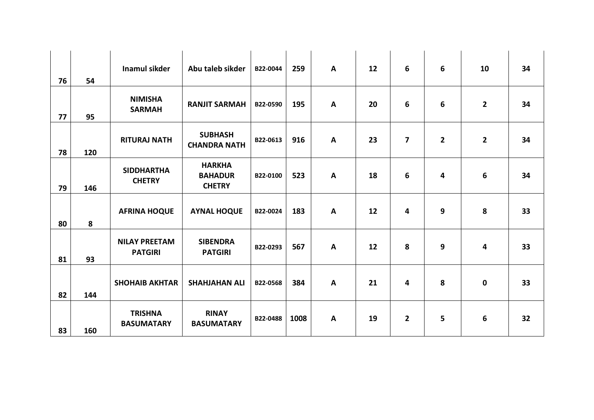|    |     | <b>Inamul sikder</b>                   | Abu taleb sikder                                 | B22-0044 | 259  | $\mathsf{A}$ | 12 | 6              | $6\phantom{1}6$ | 10           | 34 |
|----|-----|----------------------------------------|--------------------------------------------------|----------|------|--------------|----|----------------|-----------------|--------------|----|
| 76 | 54  |                                        |                                                  |          |      |              |    |                |                 |              |    |
| 77 | 95  | <b>NIMISHA</b><br><b>SARMAH</b>        | <b>RANJIT SARMAH</b>                             | B22-0590 | 195  | $\mathbf{A}$ | 20 | 6              | 6               | $\mathbf{2}$ | 34 |
| 78 | 120 | <b>RITURAJ NATH</b>                    | <b>SUBHASH</b><br><b>CHANDRA NATH</b>            | B22-0613 | 916  | $\mathsf{A}$ | 23 | 7              | $\overline{2}$  | $\mathbf{2}$ | 34 |
| 79 | 146 | <b>SIDDHARTHA</b><br><b>CHETRY</b>     | <b>HARKHA</b><br><b>BAHADUR</b><br><b>CHETRY</b> | B22-0100 | 523  | $\mathsf{A}$ | 18 | 6              | 4               | 6            | 34 |
| 80 | 8   | <b>AFRINA HOQUE</b>                    | <b>AYNAL HOQUE</b>                               | B22-0024 | 183  | $\mathbf{A}$ | 12 | 4              | 9               | 8            | 33 |
| 81 | 93  | <b>NILAY PREETAM</b><br><b>PATGIRI</b> | <b>SIBENDRA</b><br><b>PATGIRI</b>                | B22-0293 | 567  | $\mathbf{A}$ | 12 | 8              | 9               | 4            | 33 |
| 82 | 144 | <b>SHOHAIB AKHTAR</b>                  | <b>SHAHJAHAN ALI</b>                             | B22-0568 | 384  | $\mathsf{A}$ | 21 | 4              | 8               | $\mathbf 0$  | 33 |
| 83 | 160 | <b>TRISHNA</b><br><b>BASUMATARY</b>    | <b>RINAY</b><br><b>BASUMATARY</b>                | B22-0488 | 1008 | $\mathbf{A}$ | 19 | $\overline{2}$ | 5               | 6            | 32 |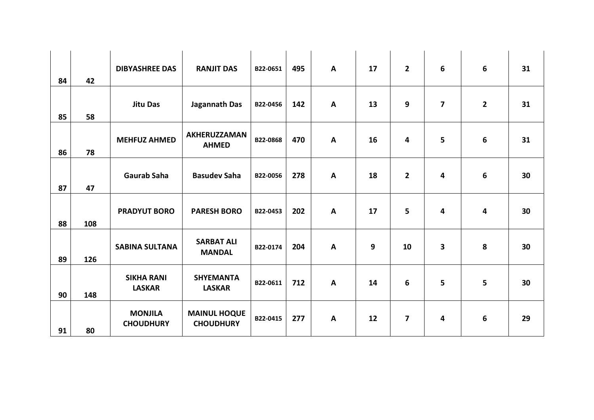| 84 | 42  | <b>DIBYASHREE DAS</b>              | <b>RANJIT DAS</b>                       | B22-0651 | 495 | $\mathsf{A}$ | 17 | $\overline{2}$ | $6\phantom{1}6$         | 6            | 31 |
|----|-----|------------------------------------|-----------------------------------------|----------|-----|--------------|----|----------------|-------------------------|--------------|----|
| 85 | 58  | <b>Jitu Das</b>                    | Jagannath Das                           | B22-0456 | 142 | $\mathsf{A}$ | 13 | 9              | $\overline{\mathbf{z}}$ | $\mathbf{2}$ | 31 |
| 86 | 78  | <b>MEHFUZ AHMED</b>                | <b>AKHERUZZAMAN</b><br><b>AHMED</b>     | B22-0868 | 470 | $\mathsf{A}$ | 16 | 4              | 5                       | 6            | 31 |
| 87 | 47  | <b>Gaurab Saha</b>                 | <b>Basudev Saha</b>                     | B22-0056 | 278 | $\mathsf{A}$ | 18 | $\overline{2}$ | 4                       | 6            | 30 |
| 88 | 108 | <b>PRADYUT BORO</b>                | <b>PARESH BORO</b>                      | B22-0453 | 202 | $\mathbf{A}$ | 17 | 5              | 4                       | 4            | 30 |
| 89 | 126 | <b>SABINA SULTANA</b>              | <b>SARBAT ALI</b><br><b>MANDAL</b>      | B22-0174 | 204 | $\mathbf{A}$ | 9  | 10             | 3                       | 8            | 30 |
| 90 | 148 | <b>SIKHA RANI</b><br><b>LASKAR</b> | <b>SHYEMANTA</b><br><b>LASKAR</b>       | B22-0611 | 712 | $\mathsf{A}$ | 14 | 6              | 5                       | 5            | 30 |
| 91 | 80  | <b>MONJILA</b><br><b>CHOUDHURY</b> | <b>MAINUL HOQUE</b><br><b>CHOUDHURY</b> | B22-0415 | 277 | $\mathsf{A}$ | 12 | 7              | $\overline{4}$          | 6            | 29 |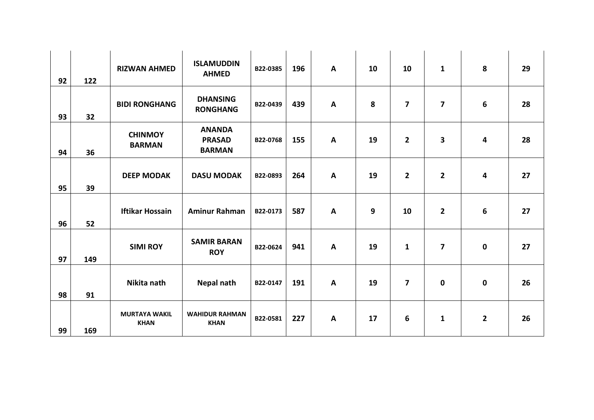|    |     |                                     | <b>ISLAMUDDIN</b>                               |          |     |              |    |                |                         |                |    |
|----|-----|-------------------------------------|-------------------------------------------------|----------|-----|--------------|----|----------------|-------------------------|----------------|----|
| 92 | 122 | <b>RIZWAN AHMED</b>                 | <b>AHMED</b>                                    | B22-0385 | 196 | $\mathsf{A}$ | 10 | 10             | $\mathbf 1$             | 8              | 29 |
| 93 | 32  | <b>BIDI RONGHANG</b>                | <b>DHANSING</b><br><b>RONGHANG</b>              | B22-0439 | 439 | A            | 8  | $\overline{7}$ | $\overline{\mathbf{z}}$ | 6              | 28 |
| 94 | 36  | <b>CHINMOY</b><br><b>BARMAN</b>     | <b>ANANDA</b><br><b>PRASAD</b><br><b>BARMAN</b> | B22-0768 | 155 | $\mathbf{A}$ | 19 | $\mathbf{2}$   | 3                       | 4              | 28 |
| 95 | 39  | <b>DEEP MODAK</b>                   | <b>DASU MODAK</b>                               | B22-0893 | 264 | $\mathsf{A}$ | 19 | $\mathbf{2}$   | $\overline{2}$          | 4              | 27 |
| 96 | 52  | <b>Iftikar Hossain</b>              | <b>Aminur Rahman</b>                            | B22-0173 | 587 | $\mathbf{A}$ | 9  | 10             | $\overline{2}$          | 6              | 27 |
| 97 | 149 | <b>SIMI ROY</b>                     | <b>SAMIR BARAN</b><br><b>ROY</b>                | B22-0624 | 941 | A            | 19 | $\mathbf{1}$   | $\overline{\mathbf{z}}$ | $\mathbf 0$    | 27 |
| 98 | 91  | Nikita nath                         | <b>Nepal nath</b>                               | B22-0147 | 191 | $\mathbf{A}$ | 19 | $\overline{7}$ | $\mathbf 0$             | $\mathbf 0$    | 26 |
| 99 | 169 | <b>MURTAYA WAKIL</b><br><b>KHAN</b> | <b>WAHIDUR RAHMAN</b><br><b>KHAN</b>            | B22-0581 | 227 | $\mathbf{A}$ | 17 | 6              | $\mathbf{1}$            | $\overline{2}$ | 26 |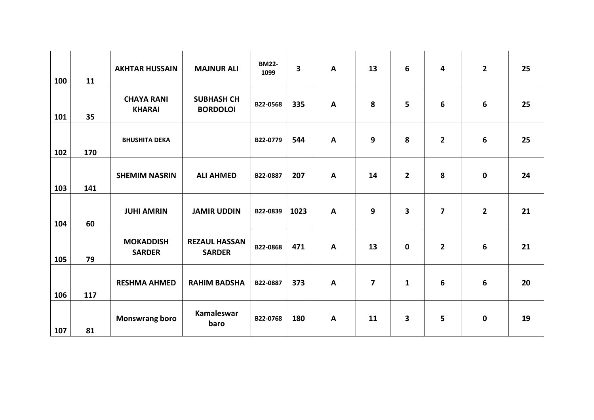| 100 | 11  | <b>AKHTAR HUSSAIN</b>              | <b>MAJNUR ALI</b>                     | <b>BM22-</b><br>1099 | $\overline{\mathbf{3}}$ | A | 13             | 6            | $\overline{\mathbf{4}}$ | $\mathbf{2}$ | 25 |
|-----|-----|------------------------------------|---------------------------------------|----------------------|-------------------------|---|----------------|--------------|-------------------------|--------------|----|
| 101 | 35  | <b>CHAYA RANI</b><br><b>KHARAI</b> | <b>SUBHASH CH</b><br><b>BORDOLOI</b>  | B22-0568             | 335                     | A | 8              | 5            | 6                       | 6            | 25 |
| 102 | 170 | <b>BHUSHITA DEKA</b>               |                                       | B22-0779             | 544                     | A | 9              | 8            | $\overline{2}$          | 6            | 25 |
| 103 | 141 | <b>SHEMIM NASRIN</b>               | <b>ALI AHMED</b>                      | B22-0887             | 207                     | A | 14             | $\mathbf{2}$ | 8                       | 0            | 24 |
| 104 | 60  | <b>JUHI AMRIN</b>                  | <b>JAMIR UDDIN</b>                    | B22-0839             | 1023                    | A | 9              | 3            | $\overline{\mathbf{z}}$ | $\mathbf{2}$ | 21 |
| 105 | 79  | <b>MOKADDISH</b><br><b>SARDER</b>  | <b>REZAUL HASSAN</b><br><b>SARDER</b> | B22-0868             | 471                     | A | 13             | 0            | $\overline{2}$          | 6            | 21 |
| 106 | 117 | <b>RESHMA AHMED</b>                | <b>RAHIM BADSHA</b>                   | B22-0887             | 373                     | A | $\overline{7}$ | $\mathbf{1}$ | $6\phantom{1}6$         | 6            | 20 |
| 107 | 81  | <b>Monswrang boro</b>              | Kamaleswar<br>baro                    | B22-0768             | 180                     | A | 11             | 3            | $5\phantom{a}$          | $\mathbf 0$  | 19 |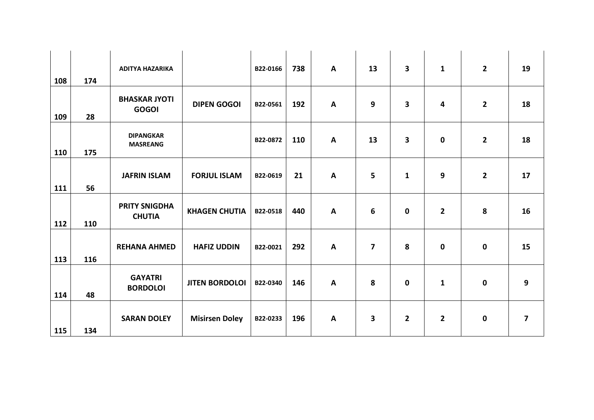|     |     | <b>ADITYA HAZARIKA</b>                |                       | B22-0166 | 738 | A            | 13             | 3              | $\mathbf{1}$            | $\overline{2}$ | 19 |
|-----|-----|---------------------------------------|-----------------------|----------|-----|--------------|----------------|----------------|-------------------------|----------------|----|
| 108 | 174 |                                       |                       |          |     |              |                |                |                         |                |    |
| 109 | 28  | <b>BHASKAR JYOTI</b><br><b>GOGOI</b>  | <b>DIPEN GOGOI</b>    | B22-0561 | 192 | $\mathbf{A}$ | 9              | 3              | $\overline{\mathbf{4}}$ | $\overline{2}$ | 18 |
| 110 | 175 | <b>DIPANGKAR</b><br><b>MASREANG</b>   |                       | B22-0872 | 110 | A            | 13             | 3              | $\mathbf 0$             | $\overline{2}$ | 18 |
| 111 | 56  | <b>JAFRIN ISLAM</b>                   | <b>FORJUL ISLAM</b>   | B22-0619 | 21  | A            | 5              | $\mathbf{1}$   | 9                       | $\overline{2}$ | 17 |
| 112 | 110 | <b>PRITY SNIGDHA</b><br><b>CHUTIA</b> | <b>KHAGEN CHUTIA</b>  | B22-0518 | 440 | A            | 6              | 0              | $\overline{2}$          | 8              | 16 |
| 113 | 116 | <b>REHANA AHMED</b>                   | <b>HAFIZ UDDIN</b>    | B22-0021 | 292 | A            | $\overline{ }$ | 8              | $\mathbf 0$             | 0              | 15 |
| 114 | 48  | <b>GAYATRI</b><br><b>BORDOLOI</b>     | <b>JITEN BORDOLOI</b> | B22-0340 | 146 | A            | 8              | $\mathbf 0$    | $\mathbf{1}$            | $\mathbf 0$    | 9  |
| 115 | 134 | <b>SARAN DOLEY</b>                    | <b>Misirsen Doley</b> | B22-0233 | 196 | A            | 3              | 2 <sup>1</sup> | $\overline{2}$          | $\mathbf 0$    | 7  |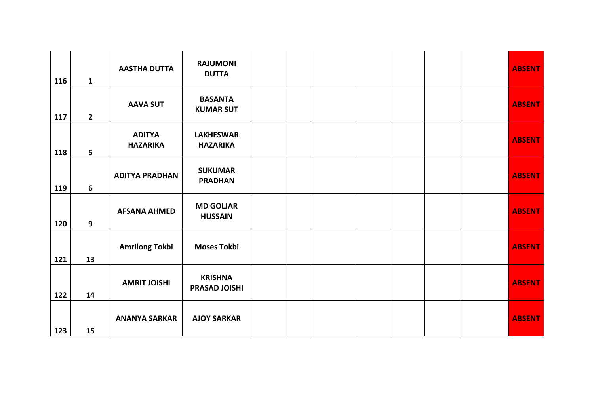| 116 | $\mathbf{1}$   | <b>AASTHA DUTTA</b>              | <b>RAJUMONI</b><br><b>DUTTA</b>        |  |  |  | <b>ABSENT</b> |
|-----|----------------|----------------------------------|----------------------------------------|--|--|--|---------------|
| 117 | $\overline{2}$ | <b>AAVA SUT</b>                  | <b>BASANTA</b><br><b>KUMAR SUT</b>     |  |  |  | <b>ABSENT</b> |
| 118 | 5              | <b>ADITYA</b><br><b>HAZARIKA</b> | <b>LAKHESWAR</b><br><b>HAZARIKA</b>    |  |  |  | <b>ABSENT</b> |
| 119 | 6              | <b>ADITYA PRADHAN</b>            | <b>SUKUMAR</b><br><b>PRADHAN</b>       |  |  |  | <b>ABSENT</b> |
| 120 | 9              | <b>AFSANA AHMED</b>              | <b>MD GOLJAR</b><br><b>HUSSAIN</b>     |  |  |  | <b>ABSENT</b> |
| 121 | 13             | <b>Amrilong Tokbi</b>            | <b>Moses Tokbi</b>                     |  |  |  | <b>ABSENT</b> |
| 122 | 14             | <b>AMRIT JOISHI</b>              | <b>KRISHNA</b><br><b>PRASAD JOISHI</b> |  |  |  | <b>ABSENT</b> |
| 123 | 15             | <b>ANANYA SARKAR</b>             | <b>AJOY SARKAR</b>                     |  |  |  | <b>ABSENT</b> |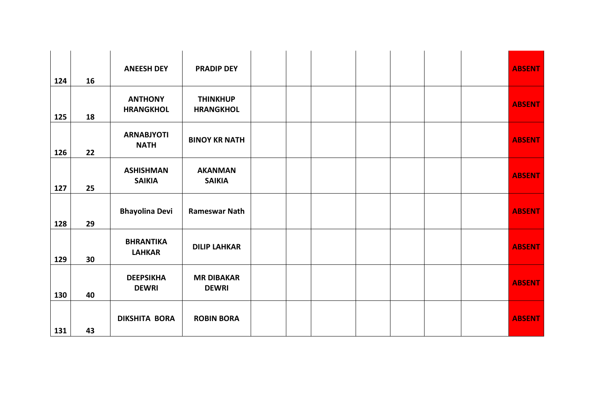| 124 | 16 | <b>ANEESH DEY</b>                  | <b>PRADIP DEY</b>                   |  |  |  | <b>ABSENT</b> |
|-----|----|------------------------------------|-------------------------------------|--|--|--|---------------|
| 125 | 18 | <b>ANTHONY</b><br><b>HRANGKHOL</b> | <b>THINKHUP</b><br><b>HRANGKHOL</b> |  |  |  | <b>ABSENT</b> |
| 126 | 22 | <b>ARNABJYOTI</b><br><b>NATH</b>   | <b>BINOY KR NATH</b>                |  |  |  | <b>ABSENT</b> |
| 127 | 25 | <b>ASHISHMAN</b><br><b>SAIKIA</b>  | <b>AKANMAN</b><br><b>SAIKIA</b>     |  |  |  | <b>ABSENT</b> |
| 128 | 29 | <b>Bhayolina Devi</b>              | <b>Rameswar Nath</b>                |  |  |  | <b>ABSENT</b> |
| 129 | 30 | <b>BHRANTIKA</b><br><b>LAHKAR</b>  | <b>DILIP LAHKAR</b>                 |  |  |  | <b>ABSENT</b> |
| 130 | 40 | <b>DEEPSIKHA</b><br><b>DEWRI</b>   | <b>MR DIBAKAR</b><br><b>DEWRI</b>   |  |  |  | <b>ABSENT</b> |
| 131 | 43 | <b>DIKSHITA BORA</b>               | <b>ROBIN BORA</b>                   |  |  |  | <b>ABSENT</b> |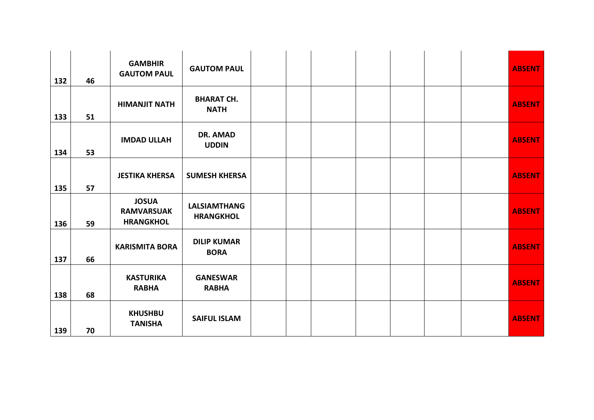| 132 | 46 | <b>GAMBHIR</b><br><b>GAUTOM PAUL</b>                  | <b>GAUTOM PAUL</b>                      |  |  |  | <b>ABSENT</b> |
|-----|----|-------------------------------------------------------|-----------------------------------------|--|--|--|---------------|
| 133 | 51 | <b>HIMANJIT NATH</b>                                  | <b>BHARAT CH.</b><br><b>NATH</b>        |  |  |  | <b>ABSENT</b> |
| 134 | 53 | <b>IMDAD ULLAH</b>                                    | <b>DR. AMAD</b><br><b>UDDIN</b>         |  |  |  | <b>ABSENT</b> |
| 135 | 57 | <b>JESTIKA KHERSA</b>                                 | <b>SUMESH KHERSA</b>                    |  |  |  | <b>ABSENT</b> |
| 136 | 59 | <b>JOSUA</b><br><b>RAMVARSUAK</b><br><b>HRANGKHOL</b> | <b>LALSIAMTHANG</b><br><b>HRANGKHOL</b> |  |  |  | <b>ABSENT</b> |
| 137 | 66 | <b>KARISMITA BORA</b>                                 | <b>DILIP KUMAR</b><br><b>BORA</b>       |  |  |  | <b>ABSENT</b> |
| 138 | 68 | <b>KASTURIKA</b><br><b>RABHA</b>                      | <b>GANESWAR</b><br><b>RABHA</b>         |  |  |  | <b>ABSENT</b> |
| 139 | 70 | <b>KHUSHBU</b><br><b>TANISHA</b>                      | <b>SAIFUL ISLAM</b>                     |  |  |  | <b>ABSENT</b> |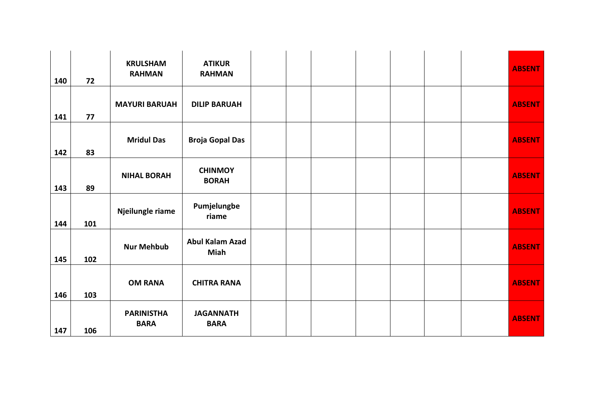| 140 | 72  | <b>KRULSHAM</b><br><b>RAHMAN</b> | <b>ATIKUR</b><br><b>RAHMAN</b>        |  |  |  | <b>ABSENT</b> |
|-----|-----|----------------------------------|---------------------------------------|--|--|--|---------------|
| 141 | 77  | <b>MAYURI BARUAH</b>             | <b>DILIP BARUAH</b>                   |  |  |  | <b>ABSENT</b> |
| 142 | 83  | <b>Mridul Das</b>                | <b>Broja Gopal Das</b>                |  |  |  | <b>ABSENT</b> |
| 143 | 89  | <b>NIHAL BORAH</b>               | <b>CHINMOY</b><br><b>BORAH</b>        |  |  |  | <b>ABSENT</b> |
| 144 | 101 | Njeilungle riame                 | Pumjelungbe<br>riame                  |  |  |  | <b>ABSENT</b> |
| 145 | 102 | <b>Nur Mehbub</b>                | <b>Abul Kalam Azad</b><br><b>Miah</b> |  |  |  | <b>ABSENT</b> |
| 146 | 103 | <b>OM RANA</b>                   | <b>CHITRA RANA</b>                    |  |  |  | <b>ABSENT</b> |
| 147 | 106 | <b>PARINISTHA</b><br><b>BARA</b> | <b>JAGANNATH</b><br><b>BARA</b>       |  |  |  | <b>ABSENT</b> |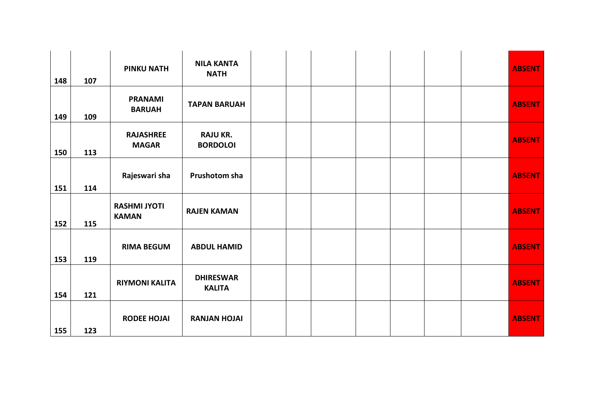| 148 | 107 | <b>PINKU NATH</b>                   | <b>NILA KANTA</b><br><b>NATH</b>   |  |  |  | <b>ABSENT</b> |
|-----|-----|-------------------------------------|------------------------------------|--|--|--|---------------|
| 149 | 109 | <b>PRANAMI</b><br><b>BARUAH</b>     | <b>TAPAN BARUAH</b>                |  |  |  | <b>ABSENT</b> |
| 150 | 113 | <b>RAJASHREE</b><br><b>MAGAR</b>    | <b>RAJU KR.</b><br><b>BORDOLOI</b> |  |  |  | <b>ABSENT</b> |
| 151 | 114 | Rajeswari sha                       | Prushotom sha                      |  |  |  | <b>ABSENT</b> |
| 152 | 115 | <b>RASHMI JYOTI</b><br><b>KAMAN</b> | <b>RAJEN KAMAN</b>                 |  |  |  | <b>ABSENT</b> |
| 153 | 119 | <b>RIMA BEGUM</b>                   | <b>ABDUL HAMID</b>                 |  |  |  | <b>ABSENT</b> |
| 154 | 121 | <b>RIYMONI KALITA</b>               | <b>DHIRESWAR</b><br><b>KALITA</b>  |  |  |  | <b>ABSENT</b> |
| 155 | 123 | <b>RODEE HOJAI</b>                  | <b>RANJAN HOJAI</b>                |  |  |  | <b>ABSENT</b> |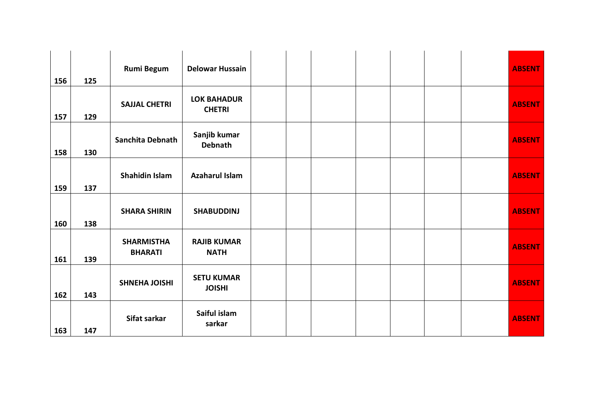| 156 | 125 | <b>Rumi Begum</b>                   | <b>Delowar Hussain</b>              |  |  |  | <b>ABSENT</b> |
|-----|-----|-------------------------------------|-------------------------------------|--|--|--|---------------|
| 157 | 129 | <b>SAJJAL CHETRI</b>                | <b>LOK BAHADUR</b><br><b>CHETRI</b> |  |  |  | <b>ABSENT</b> |
| 158 | 130 | Sanchita Debnath                    | Sanjib kumar<br>Debnath             |  |  |  | <b>ABSENT</b> |
| 159 | 137 | Shahidin Islam                      | <b>Azaharul Islam</b>               |  |  |  | <b>ABSENT</b> |
| 160 | 138 | <b>SHARA SHIRIN</b>                 | <b>SHABUDDINJ</b>                   |  |  |  | <b>ABSENT</b> |
| 161 | 139 | <b>SHARMISTHA</b><br><b>BHARATI</b> | <b>RAJIB KUMAR</b><br><b>NATH</b>   |  |  |  | <b>ABSENT</b> |
| 162 | 143 | <b>SHNEHA JOISHI</b>                | <b>SETU KUMAR</b><br><b>JOISHI</b>  |  |  |  | <b>ABSENT</b> |
| 163 | 147 | Sifat sarkar                        | Saiful islam<br>sarkar              |  |  |  | <b>ABSENT</b> |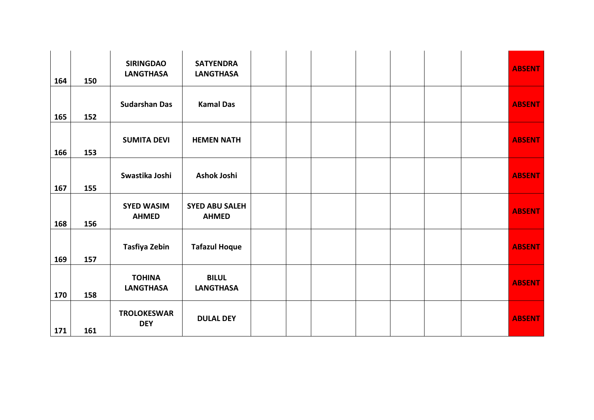| 164 | 150 | <b>SIRINGDAO</b><br><b>LANGTHASA</b> | <b>SATYENDRA</b><br><b>LANGTHASA</b>  |  |  |  | <b>ABSENT</b> |
|-----|-----|--------------------------------------|---------------------------------------|--|--|--|---------------|
| 165 | 152 | <b>Sudarshan Das</b>                 | <b>Kamal Das</b>                      |  |  |  | <b>ABSENT</b> |
| 166 | 153 | <b>SUMITA DEVI</b>                   | <b>HEMEN NATH</b>                     |  |  |  | <b>ABSENT</b> |
| 167 | 155 | Swastika Joshi                       | Ashok Joshi                           |  |  |  | <b>ABSENT</b> |
| 168 | 156 | <b>SYED WASIM</b><br><b>AHMED</b>    | <b>SYED ABU SALEH</b><br><b>AHMED</b> |  |  |  | <b>ABSENT</b> |
| 169 | 157 | <b>Tasfiya Zebin</b>                 | <b>Tafazul Hoque</b>                  |  |  |  | <b>ABSENT</b> |
| 170 | 158 | <b>TOHINA</b><br><b>LANGTHASA</b>    | <b>BILUL</b><br><b>LANGTHASA</b>      |  |  |  | <b>ABSENT</b> |
| 171 | 161 | <b>TROLOKESWAR</b><br><b>DEY</b>     | <b>DULAL DEY</b>                      |  |  |  | <b>ABSENT</b> |